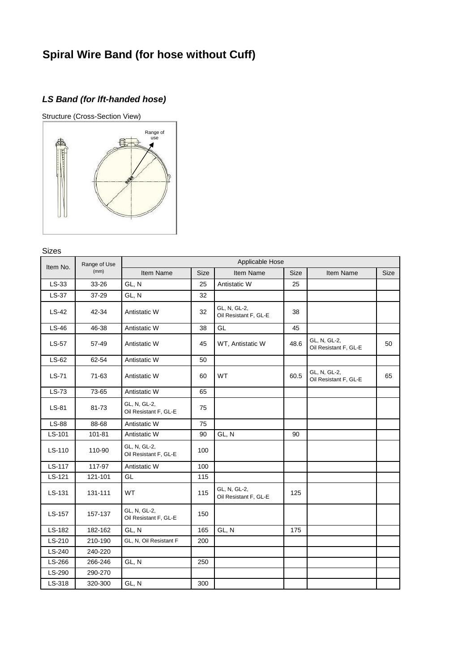# **Spiral Wire Band (for hose without Cuff)**

## *LS Band (for lft-handed hose)*



#### Sizes

| Item No. | Range of Use<br>(mm) | Applicable Hose                       |      |                                       |      |                                       |      |
|----------|----------------------|---------------------------------------|------|---------------------------------------|------|---------------------------------------|------|
|          |                      | Item Name                             | Size | Item Name                             | Size | Item Name                             | Size |
| $LS-33$  | 33-26                | GL, N                                 | 25   | Antistatic W                          | 25   |                                       |      |
| $LS-37$  | 37-29                | GL, N                                 | 32   |                                       |      |                                       |      |
| $LS-42$  | 42-34                | Antistatic W                          | 32   | GL, N, GL-2,<br>Oil Resistant F, GL-E | 38   |                                       |      |
| $LS-46$  | 46-38                | Antistatic W                          | 38   | GL                                    | 45   |                                       |      |
| $LS-57$  | 57-49                | Antistatic W                          | 45   | WT, Antistatic W                      | 48.6 | GL, N, GL-2,<br>Oil Resistant F, GL-E | 50   |
| $LS-62$  | 62-54                | Antistatic W                          | 50   |                                       |      |                                       |      |
| LS-71    | 71-63                | Antistatic W                          | 60   | <b>WT</b>                             | 60.5 | GL, N, GL-2,<br>Oil Resistant F, GL-E | 65   |
| LS-73    | 73-65                | Antistatic W                          | 65   |                                       |      |                                       |      |
| LS-81    | 81-73                | GL, N, GL-2,<br>Oil Resistant F, GL-E | 75   |                                       |      |                                       |      |
| LS-88    | 88-68                | Antistatic W                          | 75   |                                       |      |                                       |      |
| LS-101   | 101-81               | Antistatic W                          | 90   | GL, N                                 | 90   |                                       |      |
| LS-110   | 110-90               | GL, N, GL-2,<br>Oil Resistant F, GL-E | 100  |                                       |      |                                       |      |
| LS-117   | 117-97               | Antistatic W                          | 100  |                                       |      |                                       |      |
| LS-121   | 121-101              | GL                                    | 115  |                                       |      |                                       |      |
| LS-131   | 131-111              | <b>WT</b>                             | 115  | GL, N, GL-2,<br>Oil Resistant F, GL-E | 125  |                                       |      |
| LS-157   | 157-137              | GL, N, GL-2,<br>Oil Resistant F, GL-E | 150  |                                       |      |                                       |      |
| LS-182   | 182-162              | GL, N                                 | 165  | GL, N                                 | 175  |                                       |      |
| LS-210   | 210-190              | GL, N, Oil Resistant F                | 200  |                                       |      |                                       |      |
| LS-240   | 240-220              |                                       |      |                                       |      |                                       |      |
| LS-266   | 266-246              | GL, N                                 | 250  |                                       |      |                                       |      |
| LS-290   | 290-270              |                                       |      |                                       |      |                                       |      |
| LS-318   | 320-300              | GL, N                                 | 300  |                                       |      |                                       |      |